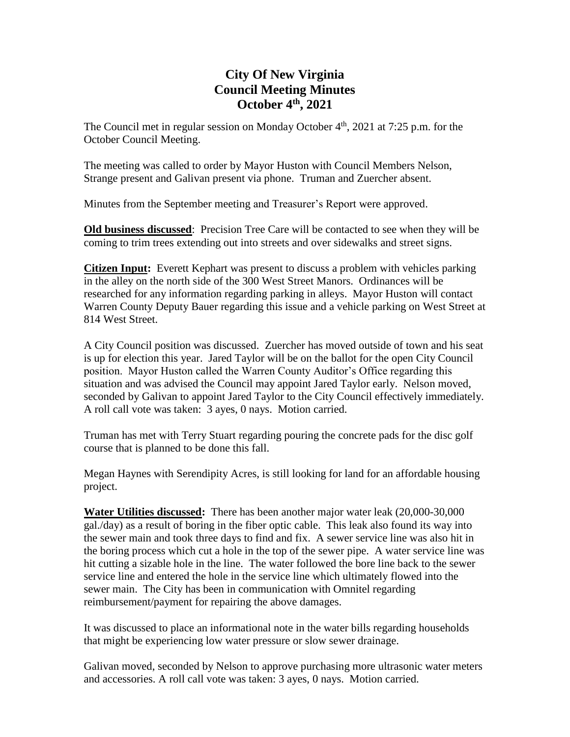# **City Of New Virginia Council Meeting Minutes October 4th , 2021**

The Council met in regular session on Monday October  $4<sup>th</sup>$ , 2021 at 7:25 p.m. for the October Council Meeting.

The meeting was called to order by Mayor Huston with Council Members Nelson, Strange present and Galivan present via phone. Truman and Zuercher absent.

Minutes from the September meeting and Treasurer's Report were approved.

**Old business discussed**: Precision Tree Care will be contacted to see when they will be coming to trim trees extending out into streets and over sidewalks and street signs.

**Citizen Input:** Everett Kephart was present to discuss a problem with vehicles parking in the alley on the north side of the 300 West Street Manors. Ordinances will be researched for any information regarding parking in alleys. Mayor Huston will contact Warren County Deputy Bauer regarding this issue and a vehicle parking on West Street at 814 West Street.

A City Council position was discussed. Zuercher has moved outside of town and his seat is up for election this year. Jared Taylor will be on the ballot for the open City Council position. Mayor Huston called the Warren County Auditor's Office regarding this situation and was advised the Council may appoint Jared Taylor early. Nelson moved, seconded by Galivan to appoint Jared Taylor to the City Council effectively immediately. A roll call vote was taken: 3 ayes, 0 nays. Motion carried.

Truman has met with Terry Stuart regarding pouring the concrete pads for the disc golf course that is planned to be done this fall.

Megan Haynes with Serendipity Acres, is still looking for land for an affordable housing project.

**Water Utilities discussed:** There has been another major water leak (20,000-30,000 gal./day) as a result of boring in the fiber optic cable. This leak also found its way into the sewer main and took three days to find and fix. A sewer service line was also hit in the boring process which cut a hole in the top of the sewer pipe. A water service line was hit cutting a sizable hole in the line. The water followed the bore line back to the sewer service line and entered the hole in the service line which ultimately flowed into the sewer main. The City has been in communication with Omnitel regarding reimbursement/payment for repairing the above damages.

It was discussed to place an informational note in the water bills regarding households that might be experiencing low water pressure or slow sewer drainage.

Galivan moved, seconded by Nelson to approve purchasing more ultrasonic water meters and accessories. A roll call vote was taken: 3 ayes, 0 nays. Motion carried.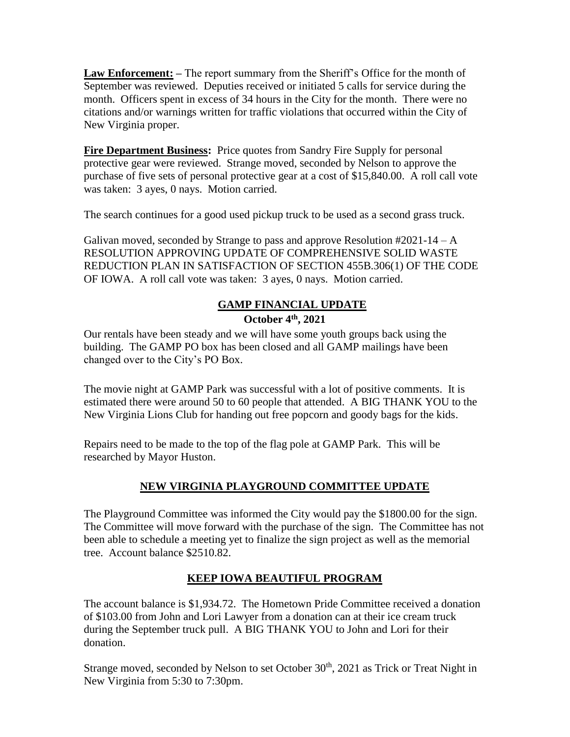**Law Enforcement: –** The report summary from the Sheriff's Office for the month of September was reviewed. Deputies received or initiated 5 calls for service during the month. Officers spent in excess of 34 hours in the City for the month. There were no citations and/or warnings written for traffic violations that occurred within the City of New Virginia proper.

**Fire Department Business:** Price quotes from Sandry Fire Supply for personal protective gear were reviewed. Strange moved, seconded by Nelson to approve the purchase of five sets of personal protective gear at a cost of \$15,840.00. A roll call vote was taken: 3 ayes, 0 nays. Motion carried.

The search continues for a good used pickup truck to be used as a second grass truck.

Galivan moved, seconded by Strange to pass and approve Resolution  $#2021-14-A$ RESOLUTION APPROVING UPDATE OF COMPREHENSIVE SOLID WASTE REDUCTION PLAN IN SATISFACTION OF SECTION 455B.306(1) OF THE CODE OF IOWA. A roll call vote was taken: 3 ayes, 0 nays. Motion carried.

## **GAMP FINANCIAL UPDATE**

### **October 4th , 2021**

Our rentals have been steady and we will have some youth groups back using the building. The GAMP PO box has been closed and all GAMP mailings have been changed over to the City's PO Box.

The movie night at GAMP Park was successful with a lot of positive comments. It is estimated there were around 50 to 60 people that attended. A BIG THANK YOU to the New Virginia Lions Club for handing out free popcorn and goody bags for the kids.

Repairs need to be made to the top of the flag pole at GAMP Park. This will be researched by Mayor Huston.

## **NEW VIRGINIA PLAYGROUND COMMITTEE UPDATE**

The Playground Committee was informed the City would pay the \$1800.00 for the sign. The Committee will move forward with the purchase of the sign. The Committee has not been able to schedule a meeting yet to finalize the sign project as well as the memorial tree. Account balance \$2510.82.

## **KEEP IOWA BEAUTIFUL PROGRAM**

The account balance is \$1,934.72. The Hometown Pride Committee received a donation of \$103.00 from John and Lori Lawyer from a donation can at their ice cream truck during the September truck pull. A BIG THANK YOU to John and Lori for their donation.

Strange moved, seconded by Nelson to set October 30<sup>th</sup>, 2021 as Trick or Treat Night in New Virginia from 5:30 to 7:30pm.